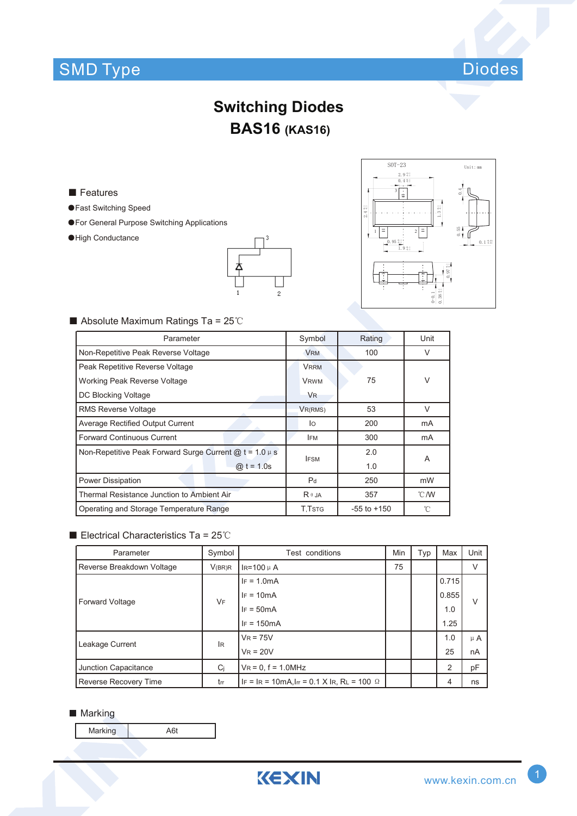# SMD Type Diodes



## **Switching Diodes BAS16 (KAS16)**

■ Features

- ●Fast Switching Speed
- ●For General Purpose Switching Applications
- ●High Conductance





### ■ Absolute Maximum Ratings Ta = 25℃

| Parameter                                                        | Symbol               | Rating          | Unit          |  |  |
|------------------------------------------------------------------|----------------------|-----------------|---------------|--|--|
| Non-Repetitive Peak Reverse Voltage                              | <b>VRM</b>           | 100             | $\vee$        |  |  |
| Peak Repetitive Reverse Voltage                                  | <b>VRRM</b>          |                 |               |  |  |
| Working Peak Reverse Voltage                                     | <b>VRWM</b>          | 75              | V             |  |  |
| DC Blocking Voltage                                              | <b>V<sub>R</sub></b> |                 |               |  |  |
| <b>RMS Reverse Voltage</b>                                       | VR(RMS)              | 53              | $\vee$        |  |  |
| <b>Average Rectified Output Current</b>                          | lo                   | 200             | mA            |  |  |
| <b>Forward Continuous Current</b>                                | <b>IFM</b>           | 300             | mA            |  |  |
| Non-Repetitive Peak Forward Surge Current $\omega t = 1.0 \mu s$ | <b>IFSM</b>          | 2.0             | A             |  |  |
| $@t = 1.0s$                                                      |                      | 1.0             |               |  |  |
| <b>Power Dissipation</b>                                         | P <sub>d</sub>       | 250             | mW            |  |  |
| Thermal Resistance Junction to Ambient Air                       | $R \theta$ JA        | 357             | $\degree$ C/W |  |  |
| Operating and Storage Temperature Range                          | <b>T.TsTG</b>        | $-55$ to $+150$ | °C            |  |  |

### ■ Electrical Characteristics Ta = 25℃

| Parameter                    | Symbol | <b>Test conditions</b>                            | Min | Typ | Max   | Unit    |  |
|------------------------------|--------|---------------------------------------------------|-----|-----|-------|---------|--|
| Reverse Breakdown Voltage    | V(BR)R | $IR=100 \mu A$                                    | 75  |     |       |         |  |
| <b>Forward Voltage</b>       | VF     | $IF = 1.0mA$                                      |     |     | 0.715 |         |  |
|                              |        | $IF = 10mA$                                       |     |     | 0.855 | V       |  |
|                              |        | $IF = 50mA$                                       |     |     | 1.0   |         |  |
|                              |        | $IF = 150mA$                                      |     |     | 1.25  |         |  |
| Leakage Current<br><b>IR</b> |        | $V_R = 75V$                                       |     |     | 1.0   | $\mu$ A |  |
|                              |        | $V_R = 20V$                                       |     |     | 25    | nA      |  |
| Junction Capacitance         | Ci     | $V_R = 0$ , $f = 1.0$ MHz                         |     |     | 2     | pF      |  |
| Reverse Recovery Time        | trr    | IF = IR = 10mA, Irr = 0.1 X IR, RL = 100 $\Omega$ |     |     | 4     | ns      |  |

#### **Marking**

Marking A6t

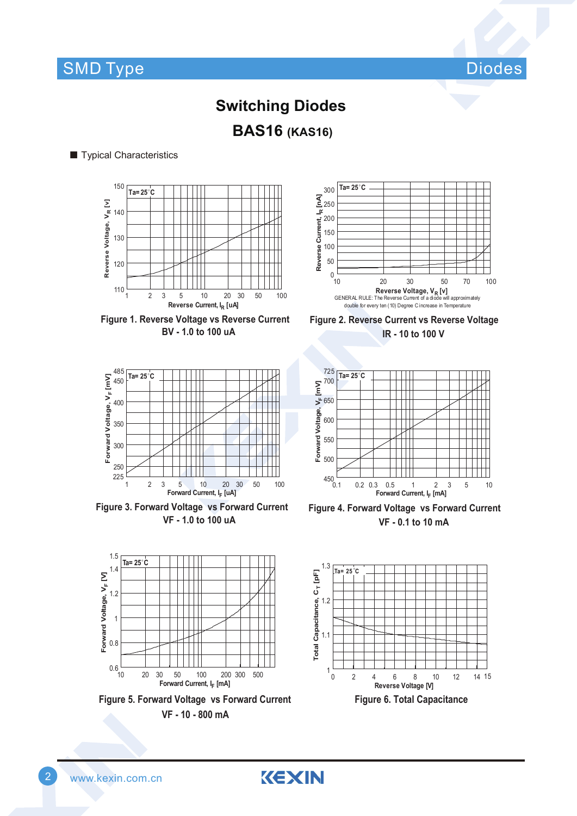

# **BAS16 (KAS16) Switching Diodes**

### ■ Typical Characteristics







**Figure 3. Forward Voltage vs Forward Current VF - 1.0 to 100 uA**

**Ta= 25**°**C**

 $1.5$ 







**Figure 4. Forward Voltage vs Forward Current VF - 0.1 to 10 mA**



**Figure 6. Total Capacitance**

1.5<br>
1.4<br>
1.2<br>
1<br>
0.8 1.4 Forward Voltage, V<sub>F</sub> [V] **Forward Voltage, VF [V]** 1.2 1 0.8  $0.6\frac{L}{10}$ 10 20 30 50 100 200 300 500 **Forward Current, I <sup>F</sup> [mA]**